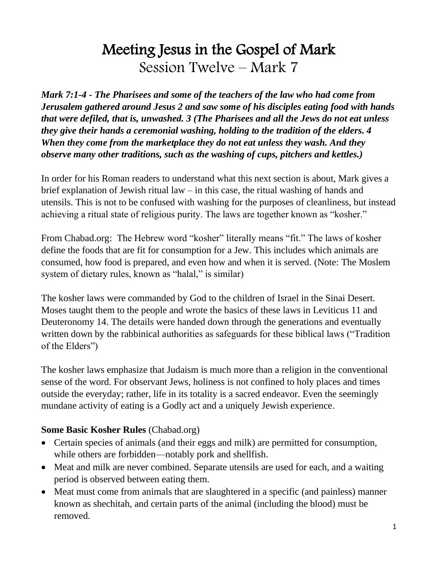# Meeting Jesus in the Gospel of Mark Session Twelve – Mark 7

*Mark 7:1-4 - The Pharisees and some of the teachers of the law who had come from Jerusalem gathered around Jesus 2 and saw some of his disciples eating food with hands that were defiled, that is, unwashed. 3 (The Pharisees and all the Jews do not eat unless they give their hands a ceremonial washing, holding to the tradition of the elders. 4 When they come from the marketplace they do not eat unless they wash. And they observe many other traditions, such as the washing of cups, pitchers and kettles.)*

In order for his Roman readers to understand what this next section is about, Mark gives a brief explanation of Jewish ritual law – in this case, the ritual washing of hands and utensils. This is not to be confused with washing for the purposes of cleanliness, but instead achieving a ritual state of religious purity. The laws are together known as "kosher."

From Chabad.org: The Hebrew word "kosher" literally means "fit." The laws of kosher define the foods that are fit for consumption for a Jew. This includes which animals are consumed, how food is prepared, and even how and when it is served. (Note: The Moslem system of dietary rules, known as "halal," is similar)

The kosher laws were commanded by God to the children of Israel in the Sinai Desert. Moses taught them to the people and wrote the basics of these laws in Leviticus 11 and Deuteronomy 14. The details were handed down through the generations and eventually written down by the rabbinical authorities as safeguards for these biblical laws ("Tradition of the Elders")

The kosher laws emphasize that Judaism is much more than a religion in the conventional sense of the word. For observant Jews, holiness is not confined to holy places and times outside the everyday; rather, life in its totality is a sacred endeavor. Even the seemingly mundane activity of eating is a Godly act and a uniquely Jewish experience.

#### **Some Basic Kosher Rules** (Chabad.org)

- Certain species of animals (and their eggs and milk) are permitted for consumption, while others are forbidden—notably pork and shellfish.
- Meat and milk are never combined. Separate utensils are used for each, and a waiting period is observed between eating them.
- Meat must come from animals that are slaughtered in a specific (and painless) manner known as shechitah, and certain parts of the animal (including the blood) must be removed.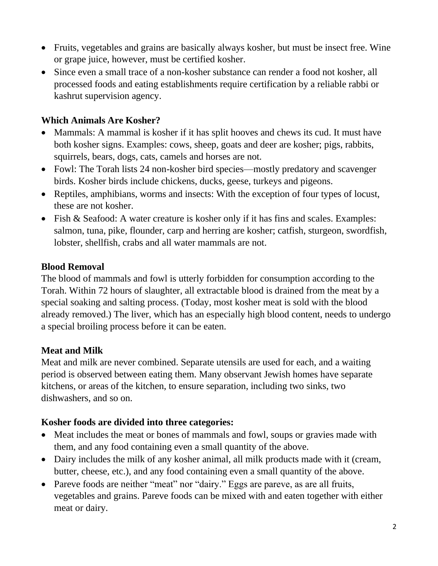- Fruits, vegetables and grains are basically always kosher, but must be insect free. Wine or grape juice, however, must be certified kosher.
- Since even a small trace of a non-kosher substance can render a food not kosher, all processed foods and eating establishments require certification by a reliable rabbi or kashrut supervision agency.

## **Which Animals Are Kosher?**

- Mammals: A mammal is kosher if it has split hooves and chews its cud. It must have both kosher signs. Examples: cows, sheep, goats and deer are kosher; pigs, rabbits, squirrels, bears, dogs, cats, camels and horses are not.
- Fowl: The Torah lists 24 non-kosher bird species—mostly predatory and scavenger birds. Kosher birds include chickens, ducks, geese, turkeys and pigeons.
- Reptiles, amphibians, worms and insects: With the exception of four types of locust, these are not kosher.
- Fish & Seafood: A water creature is kosher only if it has fins and scales. Examples: salmon, tuna, pike, flounder, carp and herring are kosher; catfish, sturgeon, swordfish, lobster, shellfish, crabs and all water mammals are not.

## **Blood Removal**

The blood of mammals and fowl is utterly forbidden for consumption according to the Torah. Within 72 hours of slaughter, all extractable blood is drained from the meat by a special soaking and salting process. (Today, most kosher meat is sold with the blood already removed.) The liver, which has an especially high blood content, needs to undergo a special broiling process before it can be eaten.

## **Meat and Milk**

Meat and milk are never combined. Separate utensils are used for each, and a waiting period is observed between eating them. Many observant Jewish homes have separate kitchens, or areas of the kitchen, to ensure separation, including two sinks, two dishwashers, and so on.

## **Kosher foods are divided into three categories:**

- Meat includes the meat or bones of mammals and fowl, soups or gravies made with them, and any food containing even a small quantity of the above.
- Dairy includes the milk of any kosher animal, all milk products made with it (cream, butter, cheese, etc.), and any food containing even a small quantity of the above.
- Pareve foods are neither "meat" nor "dairy." Eggs are pareve, as are all fruits, vegetables and grains. Pareve foods can be mixed with and eaten together with either meat or dairy.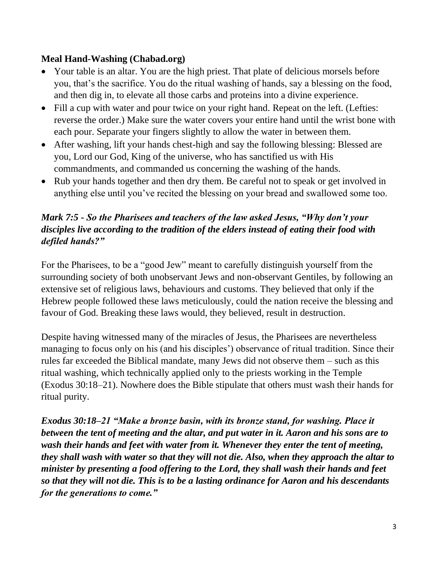### **Meal Hand-Washing (Chabad.org)**

- Your table is an altar. You are the high priest. That plate of delicious morsels before you, that's the sacrifice. You do the ritual washing of hands, say a blessing on the food, and then dig in, to elevate all those carbs and proteins into a divine experience.
- Fill a cup with water and pour twice on your right hand. Repeat on the left. (Lefties: reverse the order.) Make sure the water covers your entire hand until the wrist bone with each pour. Separate your fingers slightly to allow the water in between them.
- After washing, lift your hands chest-high and say the following blessing: Blessed are you, Lord our God, King of the universe, who has sanctified us with His commandments, and commanded us concerning the washing of the hands.
- Rub your hands together and then dry them. Be careful not to speak or get involved in anything else until you've recited the blessing on your bread and swallowed some too.

## *Mark 7:5 - So the Pharisees and teachers of the law asked Jesus, "Why don't your disciples live according to the tradition of the elders instead of eating their food with defiled hands?"*

For the Pharisees, to be a "good Jew" meant to carefully distinguish yourself from the surrounding society of both unobservant Jews and non-observant Gentiles, by following an extensive set of religious laws, behaviours and customs. They believed that only if the Hebrew people followed these laws meticulously, could the nation receive the blessing and favour of God. Breaking these laws would, they believed, result in destruction.

Despite having witnessed many of the miracles of Jesus, the Pharisees are nevertheless managing to focus only on his (and his disciples') observance of ritual tradition. Since their rules far exceeded the Biblical mandate, many Jews did not observe them – such as this ritual washing, which technically applied only to the priests working in the Temple (Exodus 30:18–21). Nowhere does the Bible stipulate that others must wash their hands for ritual purity.

*Exodus 30:18–21 "Make a bronze basin, with its bronze stand, for washing. Place it between the tent of meeting and the altar, and put water in it. Aaron and his sons are to wash their hands and feet with water from it. Whenever they enter the tent of meeting, they shall wash with water so that they will not die. Also, when they approach the altar to minister by presenting a food offering to the Lord, they shall wash their hands and feet so that they will not die. This is to be a lasting ordinance for Aaron and his descendants for the generations to come."*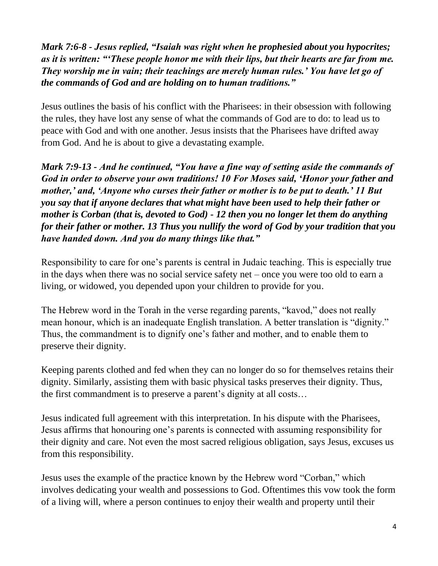*Mark 7:6-8 - Jesus replied, "Isaiah was right when he prophesied about you hypocrites; as it is written: "'These people honor me with their lips, but their hearts are far from me. They worship me in vain; their teachings are merely human rules.' You have let go of the commands of God and are holding on to human traditions."*

Jesus outlines the basis of his conflict with the Pharisees: in their obsession with following the rules, they have lost any sense of what the commands of God are to do: to lead us to peace with God and with one another. Jesus insists that the Pharisees have drifted away from God. And he is about to give a devastating example.

*Mark 7:9-13 - And he continued, "You have a fine way of setting aside the commands of God in order to observe your own traditions! 10 For Moses said, 'Honor your father and mother,' and, 'Anyone who curses their father or mother is to be put to death.' 11 But you say that if anyone declares that what might have been used to help their father or mother is Corban (that is, devoted to God) - 12 then you no longer let them do anything for their father or mother. 13 Thus you nullify the word of God by your tradition that you have handed down. And you do many things like that."*

Responsibility to care for one's parents is central in Judaic teaching. This is especially true in the days when there was no social service safety net – once you were too old to earn a living, or widowed, you depended upon your children to provide for you.

The Hebrew word in the Torah in the verse regarding parents, "kavod," does not really mean honour, which is an inadequate English translation. A better translation is "dignity." Thus, the commandment is to dignify one's father and mother, and to enable them to preserve their dignity.

Keeping parents clothed and fed when they can no longer do so for themselves retains their dignity. Similarly, assisting them with basic physical tasks preserves their dignity. Thus, the first commandment is to preserve a parent's dignity at all costs…

Jesus indicated full agreement with this interpretation. In his dispute with the Pharisees, Jesus affirms that honouring one's parents is connected with assuming responsibility for their dignity and care. Not even the most sacred religious obligation, says Jesus, excuses us from this responsibility.

Jesus uses the example of the practice known by the Hebrew word "Corban," which involves dedicating your wealth and possessions to God. Oftentimes this vow took the form of a living will, where a person continues to enjoy their wealth and property until their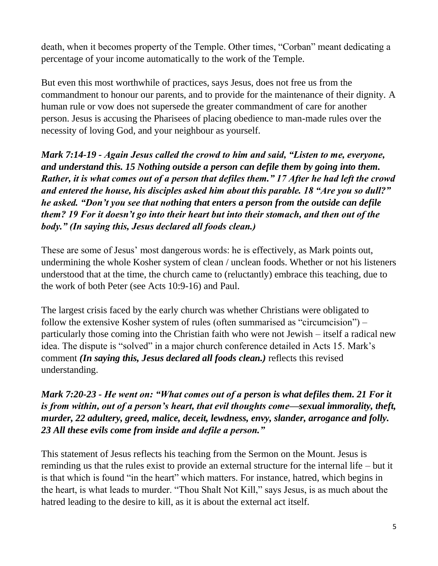death, when it becomes property of the Temple. Other times, "Corban" meant dedicating a percentage of your income automatically to the work of the Temple.

But even this most worthwhile of practices, says Jesus, does not free us from the commandment to honour our parents, and to provide for the maintenance of their dignity. A human rule or vow does not supersede the greater commandment of care for another person. Jesus is accusing the Pharisees of placing obedience to man-made rules over the necessity of loving God, and your neighbour as yourself.

*Mark 7:14-19 - Again Jesus called the crowd to him and said, "Listen to me, everyone, and understand this. 15 Nothing outside a person can defile them by going into them. Rather, it is what comes out of a person that defiles them." 17 After he had left the crowd and entered the house, his disciples asked him about this parable. 18 "Are you so dull?" he asked. "Don't you see that nothing that enters a person from the outside can defile them? 19 For it doesn't go into their heart but into their stomach, and then out of the body." (In saying this, Jesus declared all foods clean.)*

These are some of Jesus' most dangerous words: he is effectively, as Mark points out, undermining the whole Kosher system of clean / unclean foods. Whether or not his listeners understood that at the time, the church came to (reluctantly) embrace this teaching, due to the work of both Peter (see Acts 10:9-16) and Paul.

The largest crisis faced by the early church was whether Christians were obligated to follow the extensive Kosher system of rules (often summarised as "circumcision") – particularly those coming into the Christian faith who were not Jewish – itself a radical new idea. The dispute is "solved" in a major church conference detailed in Acts 15. Mark's comment *(In saying this, Jesus declared all foods clean.)* reflects this revised understanding.

*Mark 7:20-23 - He went on: "What comes out of a person is what defiles them. 21 For it is from within, out of a person's heart, that evil thoughts come—sexual immorality, theft, murder, 22 adultery, greed, malice, deceit, lewdness, envy, slander, arrogance and folly. 23 All these evils come from inside and defile a person."*

This statement of Jesus reflects his teaching from the Sermon on the Mount. Jesus is reminding us that the rules exist to provide an external structure for the internal life – but it is that which is found "in the heart" which matters. For instance, hatred, which begins in the heart, is what leads to murder. "Thou Shalt Not Kill," says Jesus, is as much about the hatred leading to the desire to kill, as it is about the external act itself.